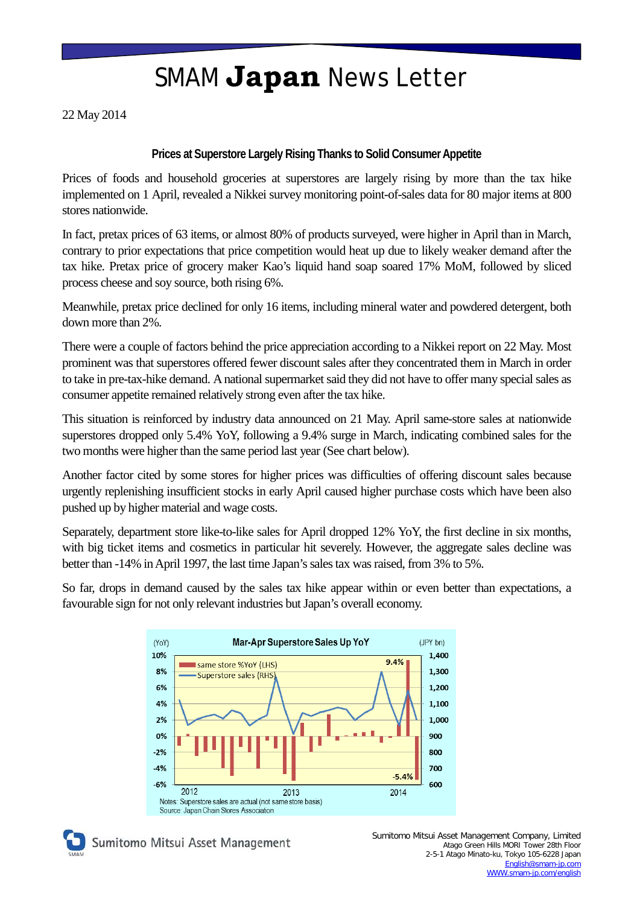## SMAM **Japan** News Letter

22 May 2014

### **Prices at Superstore Largely Rising Thanks to Solid Consumer Appetite**

Prices of foods and household groceries at superstores are largely rising by more than the tax hike implemented on 1 April, revealed a Nikkei survey monitoring point-of-sales data for 80 major items at 800 stores nationwide.

In fact, pretax prices of 63 items, or almost 80% of products surveyed, were higher in April than in March, contrary to prior expectations that price competition would heat up due to likely weaker demand after the tax hike. Pretax price of grocery maker Kao's liquid hand soap soared 17% MoM, followed by sliced process cheese and soy source, both rising 6%.

Meanwhile, pretax price declined for only 16 items, including mineral water and powdered detergent, both down more than 2%.

There were a couple of factors behind the price appreciation according to a Nikkei report on 22 May. Most prominent was that superstores offered fewer discount sales after they concentrated them in March in order to take in pre-tax-hike demand. A national supermarket said they did not have to offer many special sales as consumer appetite remained relatively strong even after the tax hike.

This situation is reinforced by industry data announced on 21 May. April same-store sales at nationwide superstores dropped only 5.4% YoY, following a 9.4% surge in March, indicating combined sales for the two months were higher than the same period last year (See chart below).

Another factor cited by some stores for higher prices was difficulties of offering discount sales because urgently replenishing insufficient stocks in early April caused higher purchase costs which have been also pushed up by higher material and wage costs.

Separately, department store like-to-like sales for April dropped 12% YoY, the first decline in six months, with big ticket items and cosmetics in particular hit severely. However, the aggregate sales decline was better than -14% in April 1997, the last time Japan's sales tax was raised, from 3% to 5%.

So far, drops in demand caused by the sales tax hike appear within or even better than expectations, a favourable sign for not only relevant industries but Japan's overall economy.